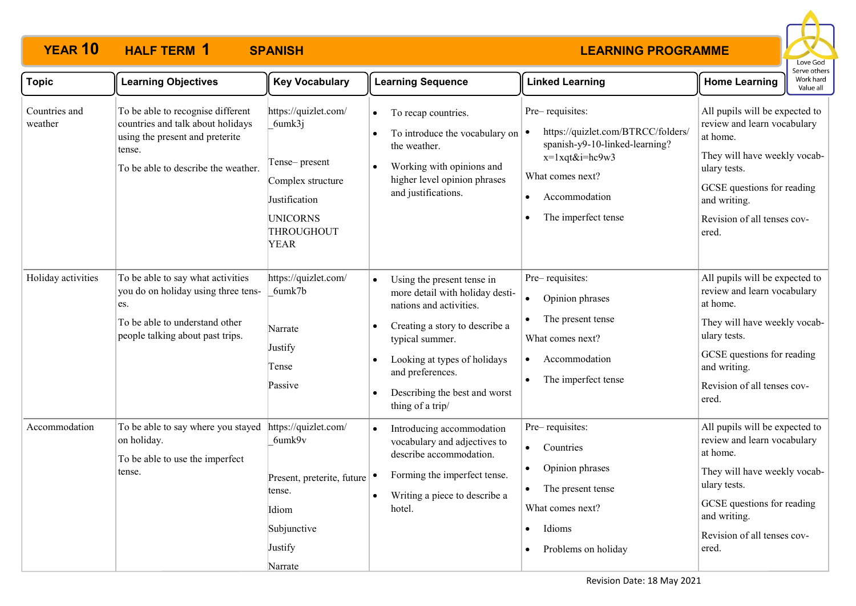

| <b>Topic</b>             | <b>Learning Objectives</b>                                                                                                                                 | <b>Key Vocabulary</b>                                                                                                                 | <b>Learning Sequence</b>                                                                                                                                                                                                                                                   | <b>Linked Learning</b>                                                                                                                                                                                          | serve other:<br>Work hard<br><b>Home Learning</b><br>Value all                                                                                                                                                  |
|--------------------------|------------------------------------------------------------------------------------------------------------------------------------------------------------|---------------------------------------------------------------------------------------------------------------------------------------|----------------------------------------------------------------------------------------------------------------------------------------------------------------------------------------------------------------------------------------------------------------------------|-----------------------------------------------------------------------------------------------------------------------------------------------------------------------------------------------------------------|-----------------------------------------------------------------------------------------------------------------------------------------------------------------------------------------------------------------|
| Countries and<br>weather | To be able to recognise different<br>countries and talk about holidays<br>using the present and preterite<br>tense.<br>To be able to describe the weather. | https://quizlet.com/<br>6umk3j<br>Tense-present<br>Complex structure<br>Justification<br><b>UNICORNS</b><br>THROUGHOUT<br><b>YEAR</b> | To recap countries.<br>$\bullet$<br>To introduce the vocabulary on<br>the weather.<br>Working with opinions and<br>higher level opinion phrases<br>and justifications.                                                                                                     | Pre-requisites:<br>https://quizlet.com/BTRCC/folders/<br>$\bullet$<br>spanish-y9-10-linked-learning?<br>$x=1$ xqt&i=hc9w3<br>What comes next?<br>Accommodation<br>$\bullet$<br>The imperfect tense<br>$\bullet$ | All pupils will be expected to<br>review and learn vocabulary<br>at home.<br>They will have weekly vocab-<br>ulary tests.<br>GCSE questions for reading<br>and writing.<br>Revision of all tenses cov-<br>ered. |
| Holiday activities       | To be able to say what activities<br>you do on holiday using three tens-<br>es.<br>To be able to understand other<br>people talking about past trips.      | https://quizlet.com/<br>6umk7b<br>Narrate<br>Justify<br>Tense<br>Passive                                                              | Using the present tense in<br>more detail with holiday desti-<br>nations and activities.<br>Creating a story to describe a<br>- 0<br>typical summer.<br>Looking at types of holidays<br>and preferences.<br>Describing the best and worst<br>$\bullet$<br>thing of a trip/ | Pre-requisites:<br>Opinion phrases<br>$\bullet$<br>The present tense<br>What comes next?<br>Accommodation<br>$\bullet$<br>The imperfect tense<br>$\bullet$                                                      | All pupils will be expected to<br>review and learn vocabulary<br>at home.<br>They will have weekly vocab-<br>ulary tests.<br>GCSE questions for reading<br>and writing.<br>Revision of all tenses cov-<br>ered. |
| Accommodation            | To be able to say where you stayed<br>on holiday.<br>To be able to use the imperfect<br>tense.                                                             | https://quizlet.com/<br>6umk9v<br>Present, preterite, future<br>tense.<br>Idiom<br>Subjunctive<br>Justify<br>Narrate                  | Introducing accommodation<br>vocabulary and adjectives to<br>describe accommodation.<br>Forming the imperfect tense.<br>Writing a piece to describe a<br>hotel.                                                                                                            | Pre-requisites:<br>Countries<br>$\bullet$<br>Opinion phrases<br>$\bullet$<br>The present tense<br>What comes next?<br>Idioms<br>$\bullet$<br>Problems on holiday<br>$\bullet$                                   | All pupils will be expected to<br>review and learn vocabulary<br>at home.<br>They will have weekly vocab-<br>ulary tests.<br>GCSE questions for reading<br>and writing.<br>Revision of all tenses cov-<br>ered. |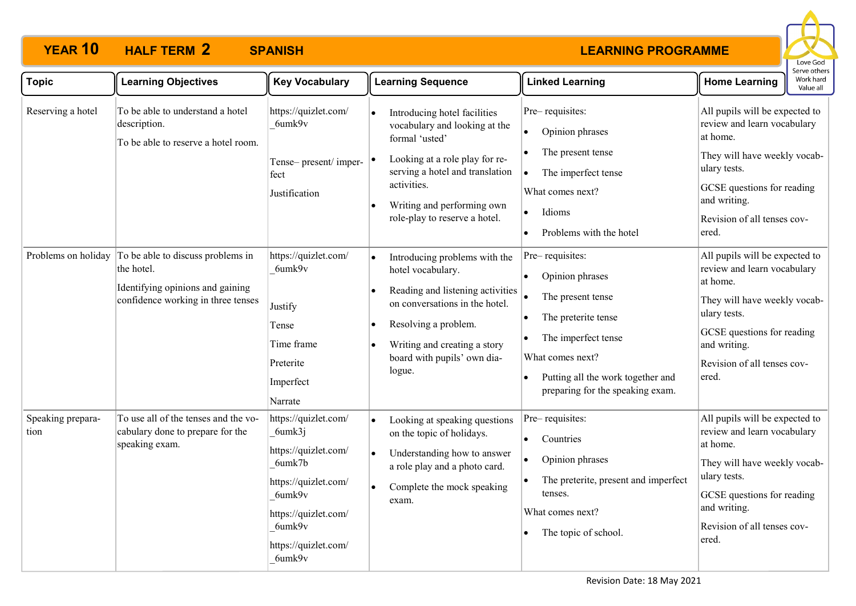

| <b>Topic</b>              | <b>Learning Objectives</b>                                                                                                | <b>Key Vocabulary</b>                                                                                                                                                  | <b>Learning Sequence</b>                                                                                                                                                                                                                                         | <b>Linked Learning</b>                                                                                                                                                                                                                    | Work hard<br><b>Home Learning</b><br>Value all                                                                                                                                                                  |
|---------------------------|---------------------------------------------------------------------------------------------------------------------------|------------------------------------------------------------------------------------------------------------------------------------------------------------------------|------------------------------------------------------------------------------------------------------------------------------------------------------------------------------------------------------------------------------------------------------------------|-------------------------------------------------------------------------------------------------------------------------------------------------------------------------------------------------------------------------------------------|-----------------------------------------------------------------------------------------------------------------------------------------------------------------------------------------------------------------|
| Reserving a hotel         | To be able to understand a hotel<br>description.<br>To be able to reserve a hotel room.                                   | https://quizlet.com/<br>6umk9v<br>Tense- present/ imper- $ $ <sup><math>\bullet</math></sup><br>fect<br>Justification                                                  | Introducing hotel facilities<br>vocabulary and looking at the<br>formal 'usted'<br>Looking at a role play for re-<br>serving a hotel and translation<br>activities.<br>Writing and performing own<br>$\bullet$<br>role-play to reserve a hotel.                  | Pre-requisites:<br>Opinion phrases<br>$\bullet$<br>The present tense<br>$\bullet$<br>The imperfect tense<br>$\bullet$<br>What comes next?<br>Idioms<br>$\bullet$<br>Problems with the hotel                                               | All pupils will be expected to<br>review and learn vocabulary<br>at home.<br>They will have weekly vocab-<br>ulary tests.<br>GCSE questions for reading<br>and writing.<br>Revision of all tenses cov-<br>ered. |
| Problems on holiday       | To be able to discuss problems in<br>the hotel.<br>Identifying opinions and gaining<br>confidence working in three tenses | https://quizlet.com/<br>6umk9v<br>Justify<br>Tense<br>Time frame<br>Preterite<br>Imperfect<br>Narrate                                                                  | Introducing problems with the<br>$\bullet$<br>hotel vocabulary.<br>Reading and listening activities<br>on conversations in the hotel.<br>Resolving a problem.<br>$\bullet$<br>Writing and creating a story<br>$\bullet$<br>board with pupils' own dia-<br>logue. | Pre-requisites:<br>Opinion phrases<br>The present tense<br>The preterite tense<br>$\bullet$<br>The imperfect tense<br>$\bullet$<br>What comes next?<br>Putting all the work together and<br>$\bullet$<br>preparing for the speaking exam. | All pupils will be expected to<br>review and learn vocabulary<br>at home.<br>They will have weekly vocab-<br>ulary tests.<br>GCSE questions for reading<br>and writing.<br>Revision of all tenses cov-<br>ered. |
| Speaking prepara-<br>tion | To use all of the tenses and the vo-<br>cabulary done to prepare for the<br>speaking exam.                                | https://quizlet.com/<br>6umk3j<br>https://quizlet.com/<br>6umk7b<br>https://quizlet.com/<br>6umk9v<br>https://quizlet.com/<br>6umk9v<br>https://quizlet.com/<br>6umk9v | Looking at speaking questions<br>$\bullet$<br>on the topic of holidays.<br>Understanding how to answer<br>$\bullet$<br>a role play and a photo card.<br>Complete the mock speaking<br>$\bullet$<br>exam.                                                         | Pre-requisites:<br>Countries<br>$\bullet$<br>Opinion phrases<br>$\bullet$<br>The preterite, present and imperfect<br>tenses.<br>What comes next?<br>The topic of school.<br>$\bullet$                                                     | All pupils will be expected to<br>review and learn vocabulary<br>at home.<br>They will have weekly vocab-<br>ulary tests.<br>GCSE questions for reading<br>and writing.<br>Revision of all tenses cov-<br>ered. |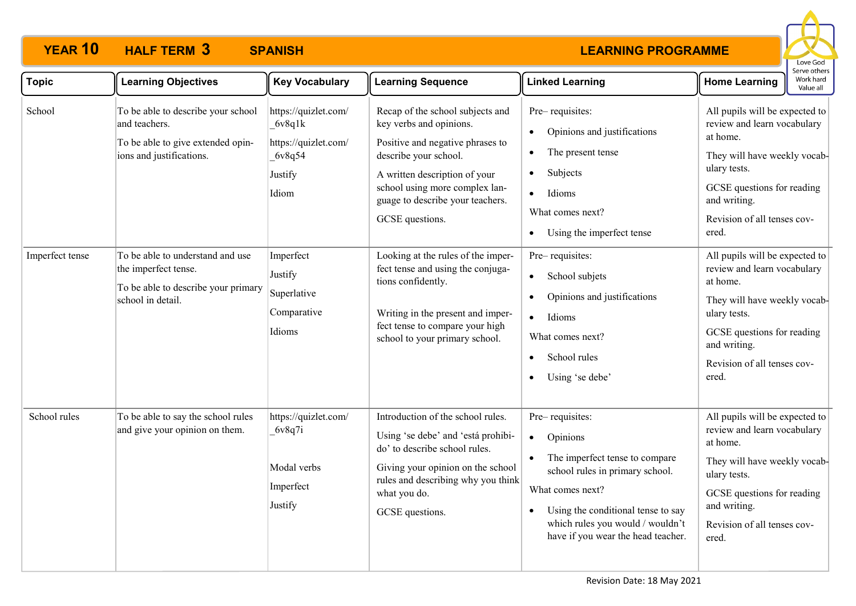

| <b>Topic</b>              | <b>Learning Objectives</b>                                                                                                                                                       | <b>Key Vocabulary</b>                                                                             | <b>Learning Sequence</b>                                                                                                                                                                                                                                                                                                      | <b>Linked Learning</b>                                                                                                                                                                                                                            | erve other:<br>Work hard<br><b>Home Learning</b><br>Value all                                                                                                                                                                                                                    |
|---------------------------|----------------------------------------------------------------------------------------------------------------------------------------------------------------------------------|---------------------------------------------------------------------------------------------------|-------------------------------------------------------------------------------------------------------------------------------------------------------------------------------------------------------------------------------------------------------------------------------------------------------------------------------|---------------------------------------------------------------------------------------------------------------------------------------------------------------------------------------------------------------------------------------------------|----------------------------------------------------------------------------------------------------------------------------------------------------------------------------------------------------------------------------------------------------------------------------------|
| School<br>Imperfect tense | To be able to describe your school<br>and teachers.<br>To be able to give extended opin-<br>ions and justifications.<br>To be able to understand and use<br>the imperfect tense. | https://quizlet.com/<br>6v8q1k<br>https://quizlet.com/<br>6v8q54<br>Justify<br>Idiom<br>Imperfect | Recap of the school subjects and<br>key verbs and opinions.<br>Positive and negative phrases to<br>describe your school.<br>A written description of your<br>school using more complex lan-<br>guage to describe your teachers.<br>GCSE questions.<br>Looking at the rules of the imper-<br>fect tense and using the conjuga- | Pre-requisites:<br>Opinions and justifications<br>The present tense<br>$\bullet$<br>Subjects<br>$\bullet$<br>Idioms<br>$\bullet$<br>What comes next?<br>Using the imperfect tense<br>$\bullet$<br>Pre-requisites:                                 | All pupils will be expected to<br>review and learn vocabulary<br>at home.<br>They will have weekly vocab-<br>ulary tests.<br>GCSE questions for reading<br>and writing.<br>Revision of all tenses cov-<br>ered.<br>All pupils will be expected to<br>review and learn vocabulary |
|                           | To be able to describe your primary<br>school in detail.                                                                                                                         | Justify<br>Superlative<br>Comparative<br>Idioms                                                   | tions confidently.<br>Writing in the present and imper-<br>fect tense to compare your high<br>school to your primary school.                                                                                                                                                                                                  | School subjets<br>$\bullet$<br>Opinions and justifications<br>Idioms<br>$\bullet$<br>What comes next?<br>School rules<br>$\bullet$<br>Using 'se debe'<br>$\bullet$                                                                                | at home.<br>They will have weekly vocab-<br>ulary tests.<br>GCSE questions for reading<br>and writing.<br>Revision of all tenses cov-<br>ered.                                                                                                                                   |
| School rules              | To be able to say the school rules<br>and give your opinion on them.                                                                                                             | https://quizlet.com/<br>6v8q7i<br>Modal verbs<br>Imperfect<br>Justify                             | Introduction of the school rules.<br>Using 'se debe' and 'está prohibi-<br>do' to describe school rules.<br>Giving your opinion on the school<br>rules and describing why you think<br>what you do.<br>GCSE questions.                                                                                                        | Pre-requisites:<br>Opinions<br>$\bullet$<br>The imperfect tense to compare<br>school rules in primary school.<br>What comes next?<br>Using the conditional tense to say<br>which rules you would / wouldn't<br>have if you wear the head teacher. | All pupils will be expected to<br>review and learn vocabulary<br>at home.<br>They will have weekly vocab-<br>ulary tests.<br>GCSE questions for reading<br>and writing.<br>Revision of all tenses cov-<br>ered.                                                                  |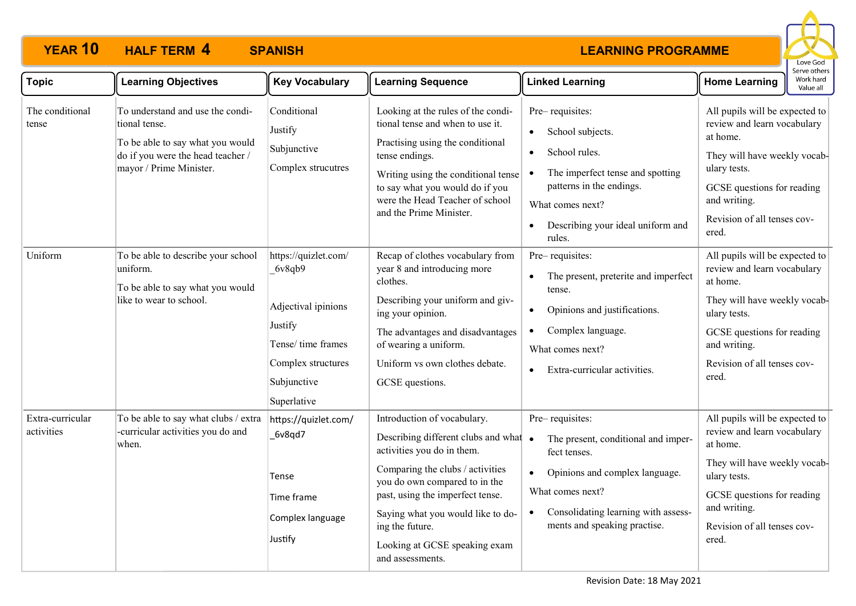

| <b>Topic</b>                   | <b>Learning Objectives</b>                                                                                                                            | <b>Key Vocabulary</b>                                                                                                                      | <b>Learning Sequence</b>                                                                                                                                                                                                                                                                                                 | <b>Linked Learning</b>                                                                                                                                                                                                         | erve other:<br>Work hard<br><b>Home Learning</b><br>Value all                                                                                                                                                   |
|--------------------------------|-------------------------------------------------------------------------------------------------------------------------------------------------------|--------------------------------------------------------------------------------------------------------------------------------------------|--------------------------------------------------------------------------------------------------------------------------------------------------------------------------------------------------------------------------------------------------------------------------------------------------------------------------|--------------------------------------------------------------------------------------------------------------------------------------------------------------------------------------------------------------------------------|-----------------------------------------------------------------------------------------------------------------------------------------------------------------------------------------------------------------|
| The conditional<br>tense       | To understand and use the condi-<br>tional tense.<br>To be able to say what you would<br>do if you were the head teacher /<br>mayor / Prime Minister. | Conditional<br>Justify<br>Subjunctive<br>Complex strucutres                                                                                | Looking at the rules of the condi-<br>tional tense and when to use it.<br>Practising using the conditional<br>tense endings.<br>Writing using the conditional tense<br>to say what you would do if you<br>were the Head Teacher of school<br>and the Prime Minister.                                                     | Pre-requisites:<br>School subjects.<br>$\bullet$<br>School rules.<br>$\bullet$<br>The imperfect tense and spotting<br>$\bullet$<br>patterns in the endings.<br>What comes next?<br>Describing your ideal uniform and<br>rules. | All pupils will be expected to<br>review and learn vocabulary<br>at home.<br>They will have weekly vocab-<br>ulary tests.<br>GCSE questions for reading<br>and writing.<br>Revision of all tenses cov-<br>ered. |
| Uniform                        | To be able to describe your school<br>uniform.<br>To be able to say what you would<br>like to wear to school.                                         | https://quizlet.com/<br>6v8qb9<br>Adjectival ipinions<br>Justify<br>Tense/ time frames<br>Complex structures<br>Subjunctive<br>Superlative | Recap of clothes vocabulary from<br>year 8 and introducing more<br>clothes.<br>Describing your uniform and giv-<br>ing your opinion.<br>The advantages and disadvantages<br>of wearing a uniform.<br>Uniform vs own clothes debate.<br>GCSE questions.                                                                   | Pre-requisites:<br>The present, preterite and imperfect<br>$\bullet$<br>tense.<br>Opinions and justifications.<br>$\bullet$<br>Complex language.<br>$\bullet$<br>What comes next?<br>Extra-curricular activities.<br>$\bullet$ | All pupils will be expected to<br>review and learn vocabulary<br>at home.<br>They will have weekly vocab-<br>ulary tests.<br>GCSE questions for reading<br>and writing.<br>Revision of all tenses cov-<br>ered. |
| Extra-curricular<br>activities | To be able to say what clubs / extra<br>-curricular activities you do and<br>when.                                                                    | https://quizlet.com/<br>6v8qd7<br>Tense<br>Time frame<br>Complex language<br>Justify                                                       | Introduction of vocabulary.<br>Describing different clubs and what •<br>activities you do in them.<br>Comparing the clubs / activities<br>you do own compared to in the<br>past, using the imperfect tense.<br>Saying what you would like to do-<br>ing the future.<br>Looking at GCSE speaking exam<br>and assessments. | Pre-requisites:<br>The present, conditional and imper-<br>fect tenses.<br>Opinions and complex language.<br>$\bullet$<br>What comes next?<br>Consolidating learning with assess-<br>$\bullet$<br>ments and speaking practise.  | All pupils will be expected to<br>review and learn vocabulary<br>at home.<br>They will have weekly vocab-<br>ulary tests.<br>GCSE questions for reading<br>and writing.<br>Revision of all tenses cov-<br>ered. |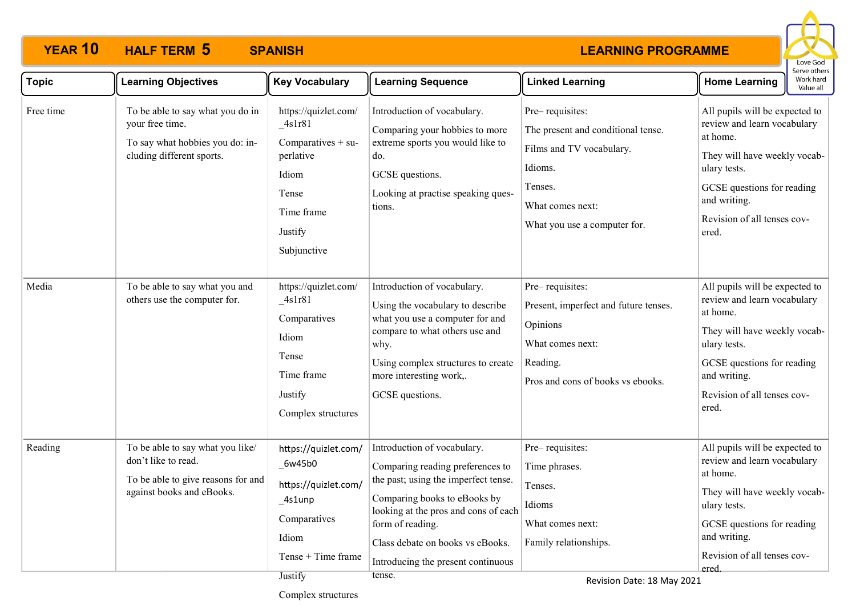### **LEARNING PROGRAMME**



| <b>Topic</b> | <b>Learning Objectives</b>                                                                                                 | <b>Key Vocabulary</b>                                                                                                             | <b>Learning Sequence</b>                                                                                                                                                                                                                                                                | <b>Linked Learning</b>                                                                                                                                      | Work hard<br><b>Home Learning</b><br>Value all                                                                                                                                                                  |
|--------------|----------------------------------------------------------------------------------------------------------------------------|-----------------------------------------------------------------------------------------------------------------------------------|-----------------------------------------------------------------------------------------------------------------------------------------------------------------------------------------------------------------------------------------------------------------------------------------|-------------------------------------------------------------------------------------------------------------------------------------------------------------|-----------------------------------------------------------------------------------------------------------------------------------------------------------------------------------------------------------------|
| Free time    | To be able to say what you do in<br>your free time.<br>To say what hobbies you do: in-<br>cluding different sports.        | https://quizlet.com/<br>$_4$ slr81<br>Comparatives $+$ su-<br>perlative<br>Idiom<br>Tense<br>Time frame<br>Justify<br>Subjunctive | Introduction of vocabulary.<br>Comparing your hobbies to more<br>extreme sports you would like to<br>do.<br>GCSE questions.<br>Looking at practise speaking ques-<br>tions.                                                                                                             | Pre-requisites:<br>The present and conditional tense.<br>Films and TV vocabulary.<br>Idioms.<br>Tenses.<br>What comes next:<br>What you use a computer for. | All pupils will be expected to<br>review and learn vocabulary<br>at home.<br>They will have weekly vocab-<br>ulary tests.<br>GCSE questions for reading<br>and writing.<br>Revision of all tenses cov-<br>ered. |
| Media        | To be able to say what you and<br>others use the computer for.                                                             | https://quizlet.com/<br>$-4s1r81$<br>Comparatives<br>Idiom<br>Tense<br>Time frame<br>Justify<br>Complex structures                | Introduction of vocabulary.<br>Using the vocabulary to describe<br>what you use a computer for and<br>compare to what others use and<br>why.<br>Using complex structures to create<br>more interesting work,.<br>GCSE questions.                                                        | Pre-requisites:<br>Present, imperfect and future tenses.<br>Opinions<br>What comes next:<br>Reading.<br>Pros and cons of books vs ebooks.                   | All pupils will be expected to<br>review and learn vocabulary<br>at home.<br>They will have weekly vocab-<br>ulary tests.<br>GCSE questions for reading<br>and writing.<br>Revision of all tenses cov-<br>ered. |
| Reading      | To be able to say what you like/<br>don't like to read.<br>To be able to give reasons for and<br>against books and eBooks. | https://quizlet.com/<br>$_6w45b0$<br>https://quizlet.com/<br>_4s1unp<br>Comparatives<br>Idiom<br>Tense + Time frame<br>Justify    | Introduction of vocabulary.<br>Comparing reading preferences to<br>the past; using the imperfect tense.<br>Comparing books to eBooks by<br>looking at the pros and cons of each<br>form of reading.<br>Class debate on books vs eBooks.<br>Introducing the present continuous<br>tense. | Pre-requisites:<br>Time phrases.<br>Tenses.<br>Idioms<br>What comes next:<br>Family relationships.                                                          | All pupils will be expected to<br>review and learn vocabulary<br>at home.<br>They will have weekly vocab-<br>ulary tests.<br>GCSE questions for reading<br>and writing.<br>Revision of all tenses cov-<br>ered. |

Complex structures

Revision Date: 18 May 2021